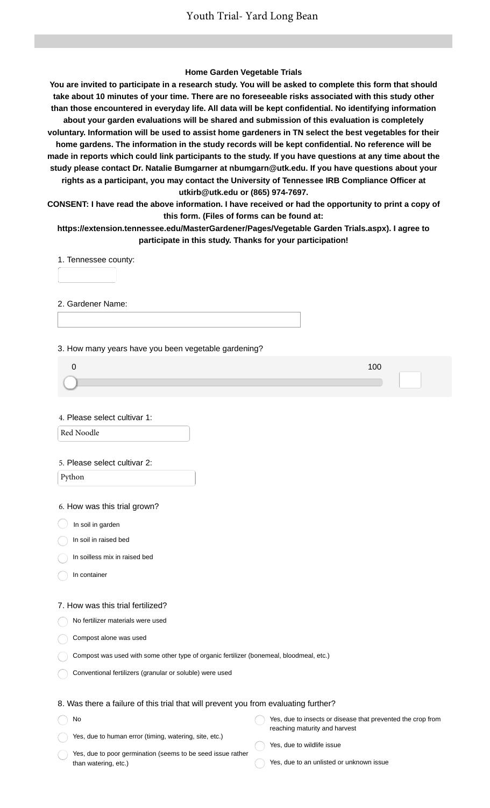### **Home Garden Vegetable Trials**

**You are invited to participate in a research study. You will be asked to complete this form that should take about 10 minutes of your time. There are no foreseeable risks associated with this study other than those encountered in everyday life. All data will be kept confidential. No identifying information about your garden evaluations will be shared and submission of this evaluation is completely voluntary. Information will be used to assist home gardeners in TN select the best vegetables for their home gardens. The information in the study records will be kept confidential. No reference will be made in reports which could link participants to the study. If you have questions at any time about the study please contact Dr. Natalie Bumgarner at nbumgarn@utk.edu. If you have questions about your rights as a participant, you may contact the University of Tennessee IRB Compliance Officer at utkirb@utk.edu or (865) 974-7697.**

**CONSENT: I have read the above information. I have received or had the opportunity to print a copy of this form. (Files of forms can be found at:**

**https://extension.tennessee.edu/MasterGardener/Pages/Vegetable Garden Trials.aspx). I agree to participate in this study. Thanks for your participation!**

1. Tennessee county:

2. Gardener Name:

3. How many years have you been vegetable gardening?

4. Please select cultivar 1:

Red Noodle

#### 5. Please select cultivar 2:

Python

6. How was this trial grown?

In soil in garden

In soil in raised bed

In soilless mix in raised bed

In container

No

### 7. How was this trial fertilized?

No fertilizer materials were used

Compost alone was used

| Compost was used with some other type of organic fertilizer (bonemeal, bloodmeal, etc.) |  |  |
|-----------------------------------------------------------------------------------------|--|--|
|-----------------------------------------------------------------------------------------|--|--|

Conventional fertilizers (granular or soluble) were used

### 8. Was there a failure of this trial that will prevent you from evaluating further?

Yes, due to insects or disease that prevented the crop from reaching maturity and harvest

Yes, due to human error (timing, watering, site, etc.)

Yes, due to poor germination (seems to be seed issue rather than watering, etc.)

Yes, due to wildlife issue

Yes, due to an unlisted or unknown issue